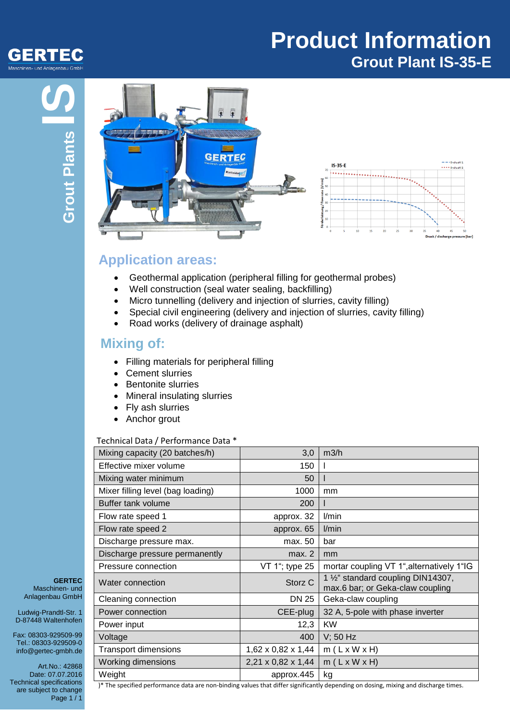## **Product Information Grout Plant IS-35-E**



## **Application areas:**

- Geothermal application (peripheral filling for geothermal probes)
- Well construction (seal water sealing, backfilling)
- Micro tunnelling (delivery and injection of slurries, cavity filling)
- Special civil engineering (delivery and injection of slurries, cavity filling)
- Road works (delivery of drainage asphalt)

### **Mixing of:**

- Filling materials for peripheral filling
- Cement slurries
- Bentonite slurries
- Mineral insulating slurries
- Fly ash slurries
- Anchor grout

#### Technical Data / Performance Data \*

| Mixing capacity (20 batches/h)    | 3,0                | m3/h                                                                                |
|-----------------------------------|--------------------|-------------------------------------------------------------------------------------|
| Effective mixer volume            | 150                |                                                                                     |
| Mixing water minimum              | 50                 |                                                                                     |
| Mixer filling level (bag loading) | 1000               | mm                                                                                  |
| Buffer tank volume                | 200                |                                                                                     |
| Flow rate speed 1                 | approx. 32         | l/min                                                                               |
| Flow rate speed 2                 | approx. 65         | l/min                                                                               |
| Discharge pressure max.           | max. 50            | bar                                                                                 |
| Discharge pressure permanently    | max. 2             | mm                                                                                  |
| Pressure connection               | VT 1"; type 25     | mortar coupling VT 1", alternatively 1"IG                                           |
| Water connection                  | Storz C            | 1 1/ <sub>2</sub> " standard coupling DIN14307,<br>max.6 bar; or Geka-claw coupling |
| Cleaning connection               | DN 25              | Geka-claw coupling                                                                  |
| Power connection                  | CEE-plug           | 32 A, 5-pole with phase inverter                                                    |
| Power input                       | 12,3               | <b>KW</b>                                                                           |
| Voltage                           | 400                | $V$ ; 50 Hz                                                                         |
| <b>Transport dimensions</b>       | 1,62 x 0,82 x 1,44 | $m(L \times W \times H)$                                                            |
| <b>Working dimensions</b>         | 2,21 x 0,82 x 1,44 | $m(L \times W \times H)$                                                            |
| Weight                            | approx.445         | kg                                                                                  |

**GERTEC** Maschinen- und Anlagenbau GmbH

Ludwig-Prandtl-Str. 1 D-87448 Waltenhofen

Fax: 08303-929509-99 Tel.: 08303-929509-0 info@gertec-gmbh.de

Art.No.: 42868 Date: 07.07.2016 Technical specifications are subject to change Page 1 / 1

)\* The specified performance data are non-binding values that differ significantly depending on dosing, mixing and discharge times.